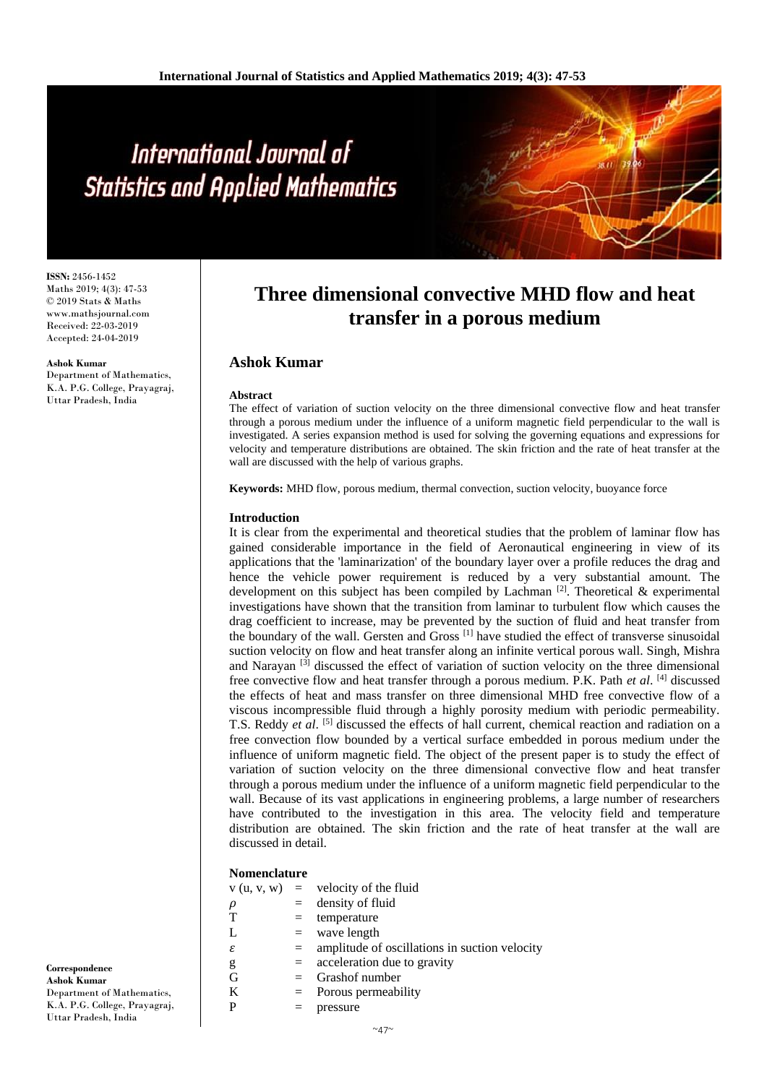**ISSN:** 2456-1452 Maths 2019; 4(3): 47-53 © 2019 Stats & Maths www.mathsjournal.com Received: 22-03-2019 Accepted: 24-04-2019

#### **Ashok Kumar**

Department of Mathematics, K.A. P.G. College, Prayagraj, Uttar Pradesh, India

# **Three dimensional convective MHD flow and heat transfer in a porous medium**

# **Ashok Kumar**

## **Abstract**

The effect of variation of suction velocity on the three dimensional convective flow and heat transfer through a porous medium under the influence of a uniform magnetic field perpendicular to the wall is investigated. A series expansion method is used for solving the governing equations and expressions for velocity and temperature distributions are obtained. The skin friction and the rate of heat transfer at the wall are discussed with the help of various graphs.

**Keywords:** MHD flow, porous medium, thermal convection, suction velocity, buoyance force

# **Introduction**

It is clear from the experimental and theoretical studies that the problem of laminar flow has gained considerable importance in the field of Aeronautical engineering in view of its applications that the 'laminarization' of the boundary layer over a profile reduces the drag and hence the vehicle power requirement is reduced by a very substantial amount. The development on this subject has been compiled by Lachman  $[2]$ . Theoretical & experimental investigations have shown that the transition from laminar to turbulent flow which causes the drag coefficient to increase, may be prevented by the suction of fluid and heat transfer from the boundary of the wall. Gersten and Gross  $^{[1]}$  have studied the effect of transverse sinusoidal suction velocity on flow and heat transfer along an infinite vertical porous wall. Singh, Mishra and Narayan<sup>[3]</sup> discussed the effect of variation of suction velocity on the three dimensional free convective flow and heat transfer through a porous medium. P.K. Path *et al*. [4] discussed the effects of heat and mass transfer on three dimensional MHD free convective flow of a viscous incompressible fluid through a highly porosity medium with periodic permeability. T.S. Reddy *et al.* [5] discussed the effects of hall current, chemical reaction and radiation on a free convection flow bounded by a vertical surface embedded in porous medium under the influence of uniform magnetic field. The object of the present paper is to study the effect of variation of suction velocity on the three dimensional convective flow and heat transfer through a porous medium under the influence of a uniform magnetic field perpendicular to the wall. Because of its vast applications in engineering problems, a large number of researchers have contributed to the investigation in this area. The velocity field and temperature distribution are obtained. The skin friction and the rate of heat transfer at the wall are discussed in detail.

# **Nomenclature**

| <b>TOMENTAL C</b> |              |                          |
|-------------------|--------------|--------------------------|
| V(u, v, w)        | $\alpha = 1$ | velocity of the fluid    |
| ρ                 | $=$          | density of fluid         |
| $\mathbf T$       |              | temperature              |
| Ι.                | $=$          | wave length              |
| ε                 |              | amplitude of oscillation |
|                   |              |                          |

- as in suction velocity  $g = \n\text{acceleration due to gravity}$ 
	-
- $G =$  Grashof number<br>  $K =$  Porous permeable K = Porous permeability<br> $P = \text{pressure}$ 
	- $=$  pressure

**Correspondence Ashok Kumar** Department of Mathematics, K.A. P.G. College, Prayagraj, Uttar Pradesh, India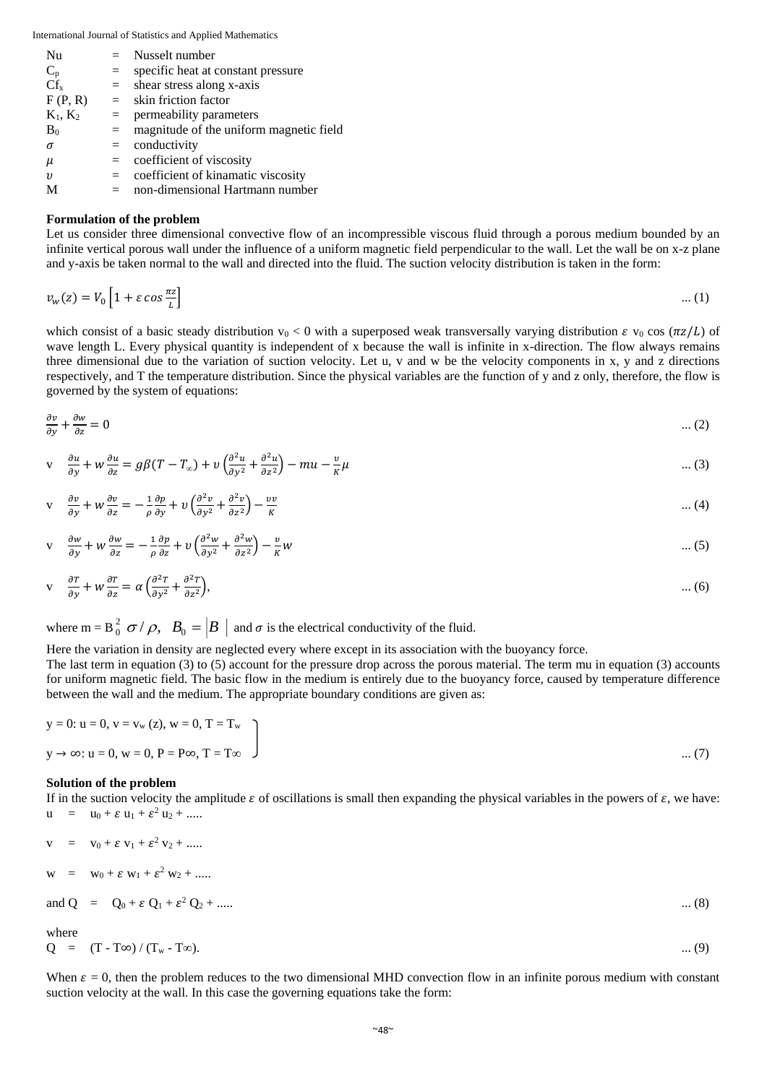| Nu                  | $=$ | Nusselt number                          |
|---------------------|-----|-----------------------------------------|
| $C_{p}$             | $=$ | specific heat at constant pressure      |
| $Cf_{x}$            | $=$ | shear stress along x-axis               |
| F(P, R)             | $=$ | skin friction factor                    |
| $K_1, K_2$          | $=$ | permeability parameters                 |
| $B_0$               | $=$ | magnitude of the uniform magnetic field |
| $\sigma$            | $=$ | conductivity                            |
| $\mu$               | $=$ | coefficient of viscosity                |
| $\boldsymbol{\eta}$ | $=$ | coefficient of kinamatic viscosity      |
|                     | $=$ | non-dimensional Hartmann number         |

# **Formulation of the problem**

Let us consider three dimensional convective flow of an incompressible viscous fluid through a porous medium bounded by an infinite vertical porous wall under the influence of a uniform magnetic field perpendicular to the wall. Let the wall be on x-z plane and y-axis be taken normal to the wall and directed into the fluid. The suction velocity distribution is taken in the form:

$$
v_w(z) = V_0 \left[ 1 + \varepsilon \cos \frac{\pi z}{L} \right] \tag{1}
$$

which consist of a basic steady distribution  $v_0 < 0$  with a superposed weak transversally varying distribution  $\varepsilon v_0 \cos(\pi z/L)$  of wave length L. Every physical quantity is independent of x because the wall is infinite in x-direction. The flow always remains three dimensional due to the variation of suction velocity. Let u, v and w be the velocity components in x, y and z directions respectively, and T the temperature distribution. Since the physical variables are the function of y and z only, therefore, the flow is governed by the system of equations:

$$
\frac{\partial v}{\partial y} + \frac{\partial w}{\partial z} = 0 \tag{2}
$$

$$
v \quad \frac{\partial u}{\partial y} + w \frac{\partial u}{\partial z} = g\beta (T - T_{\infty}) + v \left( \frac{\partial^2 u}{\partial y^2} + \frac{\partial^2 u}{\partial z^2} \right) - m u - \frac{v}{\kappa} \mu \tag{3}
$$

$$
v \quad \frac{\partial v}{\partial y} + w \frac{\partial v}{\partial z} = -\frac{1}{\rho} \frac{\partial p}{\partial y} + v \left( \frac{\partial^2 v}{\partial y^2} + \frac{\partial^2 v}{\partial z^2} \right) - \frac{vv}{K}
$$
 ... (4)

$$
v \quad \frac{\partial w}{\partial y} + w \frac{\partial w}{\partial z} = -\frac{1}{\rho} \frac{\partial p}{\partial z} + v \left( \frac{\partial^2 w}{\partial y^2} + \frac{\partial^2 w}{\partial z^2} \right) - \frac{v}{K} w \tag{5}
$$

$$
v \quad \frac{\partial T}{\partial y} + w \frac{\partial T}{\partial z} = \alpha \left( \frac{\partial^2 T}{\partial y^2} + \frac{\partial^2 T}{\partial z^2} \right), \tag{6}
$$

where m =  $B_0^2$   $\sigma$  /  $\rho$ ,  $B_0 = |B|$  and  $\sigma$  is the electrical conductivity of the fluid.

# Here the variation in density are neglected every where except in its association with the buoyancy force.

The last term in equation (3) to (5) account for the pressure drop across the porous material. The term mu in equation (3) accounts for uniform magnetic field. The basic flow in the medium is entirely due to the buoyancy force, caused by temperature difference between the wall and the medium. The appropriate boundary conditions are given as:

$$
y = 0
$$
:  $u = 0$ ,  $v = v_w(z)$ ,  $w = 0$ ,  $T = T_w$   
\n $y \to \infty$ :  $u = 0$ ,  $w = 0$ ,  $P = P\infty$ ,  $T = T\infty$  ... (7)

# **Solution of the problem**

If in the suction velocity the amplitude  $\varepsilon$  of oscillations is small then expanding the physical variables in the powers of  $\varepsilon$ , we have:  $u = u_0 + \varepsilon u_1 + \varepsilon^2 u_2 + \dots$ 

$$
v = v_0 + \varepsilon v_1 + \varepsilon^2 v_2 + \dots
$$
  
\n
$$
w = w_0 + \varepsilon w_1 + \varepsilon^2 w_2 + \dots
$$
  
\nand 
$$
Q = Q_0 + \varepsilon Q_1 + \varepsilon^2 Q_2 + \dots
$$
  
\nwhere  
\n
$$
Q = (T - T\infty) / (T_w - T\infty).
$$

When  $\varepsilon = 0$ , then the problem reduces to the two dimensional MHD convection flow in an infinite porous medium with constant suction velocity at the wall. In this case the governing equations take the form: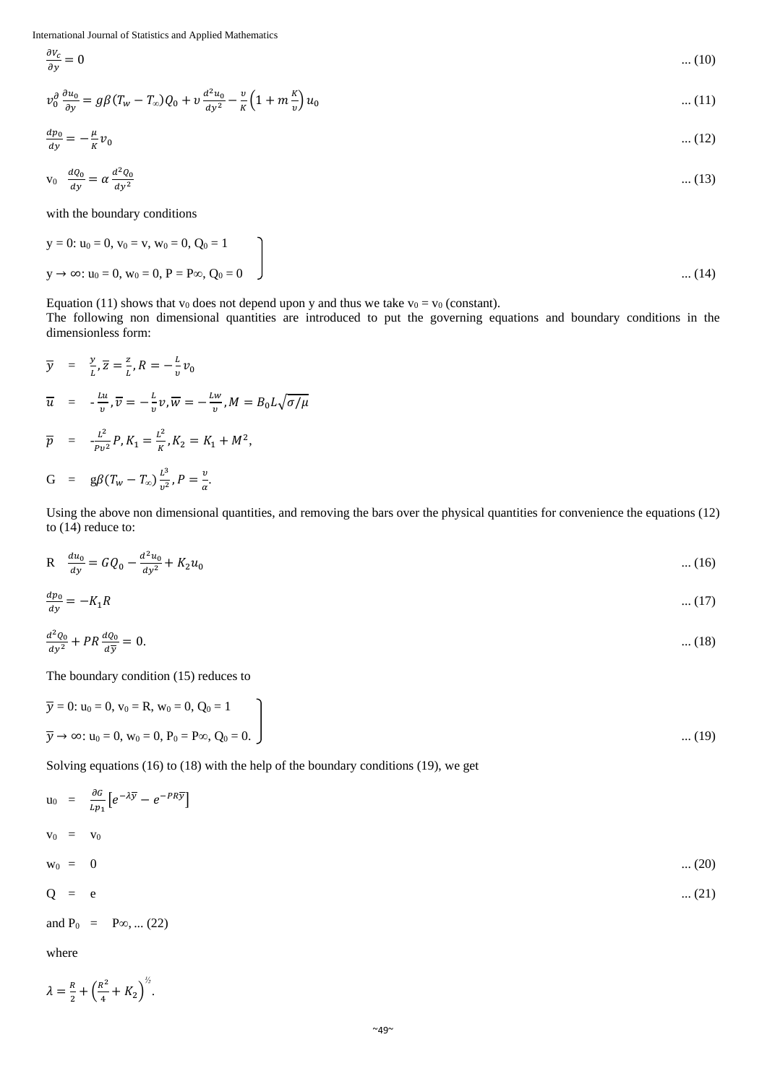$$
\frac{\partial v_c}{\partial y} = 0 \qquad \qquad \dots (10)
$$
  

$$
v_0^{\partial} \frac{\partial u_0}{\partial y} = g\beta (T_w - T_\infty) Q_0 + v \frac{d^2 u_0}{dy^2} - \frac{v}{\kappa} \left( 1 + m \frac{\kappa}{v} \right) u_0 \qquad \qquad \dots (11)
$$

$$
\frac{dp_0}{dy} = -\frac{\mu}{K}v_0 \tag{12}
$$

$$
v_0 \frac{d\varrho_0}{dy} = \alpha \frac{d^2 \varrho_0}{dy^2} \tag{13}
$$

with the boundary conditions

$$
y = 0: u_0 = 0, v_0 = v, w_0 = 0, Q_0 = 1
$$
  

$$
y \to \infty: u_0 = 0, w_0 = 0, P = P\infty, Q_0 = 0
$$
 ... (14)

Equation (11) shows that  $v_0$  does not depend upon y and thus we take  $v_0 = v_0$  (constant).

The following non dimensional quantities are introduced to put the governing equations and boundary conditions in the dimensionless form:

$$
\overline{y} = \frac{y}{L}, \overline{z} = \frac{z}{L}, R = -\frac{L}{v}v_0
$$
  

$$
\overline{u} = -\frac{Lu}{v}, \overline{v} = -\frac{L}{v}v, \overline{w} = -\frac{Lw}{v}, M = B_0L\sqrt{\sigma/\mu}
$$

$$
\overline{p}
$$
 =  $-\frac{L^2}{p v^2} P$ ,  $K_1 = \frac{L^2}{K}$ ,  $K_2 = K_1 + M^2$ ,

$$
G = g\beta (T_w - T_\infty) \frac{L^3}{v^2}, P = \frac{v}{\alpha}.
$$

Using the above non dimensional quantities, and removing the bars over the physical quantities for convenience the equations (12) to (14) reduce to:

$$
R \quad \frac{du_0}{dy} = GQ_0 - \frac{d^2u_0}{dy^2} + K_2u_0 \tag{16}
$$

$$
\frac{dp_0}{dy} = -K_1 R \tag{17}
$$

$$
\frac{d^2\varrho_0}{dy^2} + PR\frac{d\varrho_0}{d\overline{y}} = 0. \tag{18}
$$

The boundary condition (15) reduces to

$$
\overline{y} = 0
$$
:  $u_0 = 0$ ,  $v_0 = R$ ,  $w_0 = 0$ ,  $Q_0 = 1$   
\n $\overline{y} \to \infty$ :  $u_0 = 0$ ,  $w_0 = 0$ ,  $P_0 = P\infty$ ,  $Q_0 = 0$ .

Solving equations (16) to (18) with the help of the boundary conditions (19), we get

$$
u_0 = \frac{\partial G}{L p_1} \left[ e^{-\lambda \overline{y}} - e^{-PR \overline{y}} \right]
$$
  
\n
$$
v_0 = v_0 \qquad \qquad \dots (20)
$$
  
\n
$$
Q = e \qquad \qquad \dots (21)
$$
  
\nand  $P_0 = P \infty, \dots (22)$   
\nwhere

$$
\lambda = \frac{R}{2} + \left(\frac{R^2}{4} + K_2\right)^{\frac{1}{2}}.
$$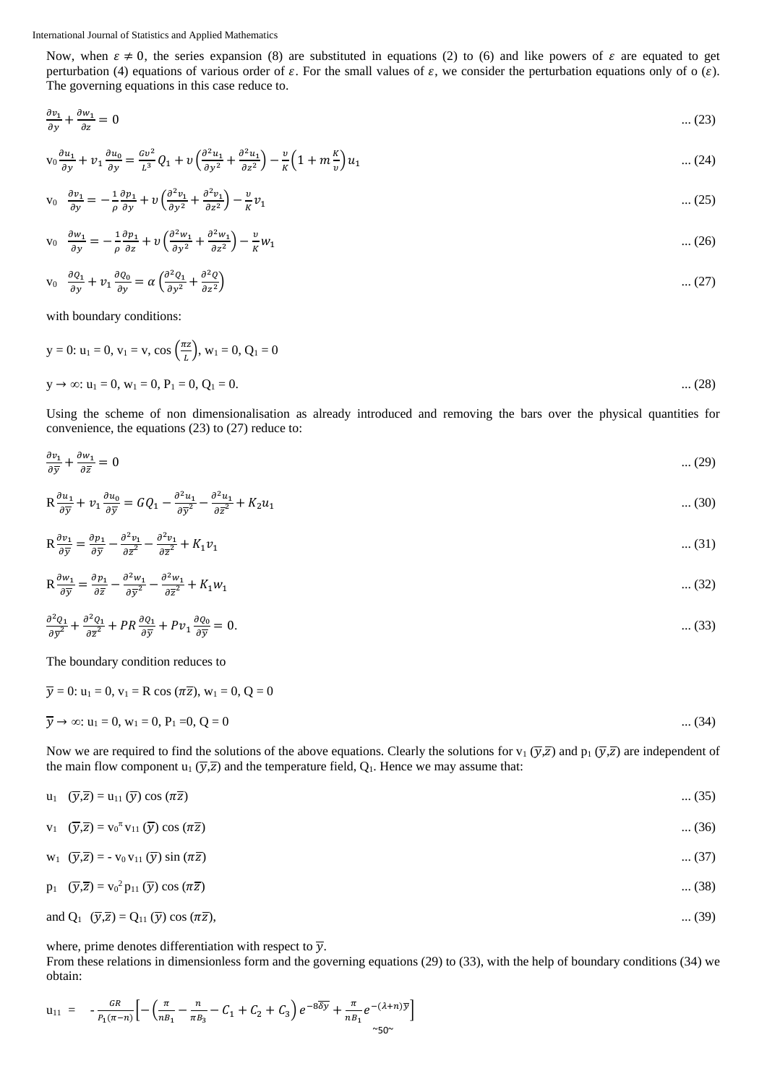Now, when  $\varepsilon \neq 0$ , the series expansion (8) are substituted in equations (2) to (6) and like powers of  $\varepsilon$  are equated to get perturbation (4) equations of various order of  $\varepsilon$ . For the small values of  $\varepsilon$ , we consider the perturbation equations only of o  $(\varepsilon)$ . The governing equations in this case reduce to.

$$
\frac{\partial v_1}{\partial y} + \frac{\partial w_1}{\partial z} = 0 \tag{23}
$$

$$
v_0 \frac{\partial u_1}{\partial y} + v_1 \frac{\partial u_0}{\partial y} = \frac{cv^2}{L^3} Q_1 + v \left( \frac{\partial^2 u_1}{\partial y^2} + \frac{\partial^2 u_1}{\partial z^2} \right) - \frac{v}{K} \left( 1 + m \frac{K}{v} \right) u_1 \tag{24}
$$

$$
v_0 \quad \frac{\partial v_1}{\partial y} = -\frac{1}{\rho} \frac{\partial p_1}{\partial y} + v \left( \frac{\partial^2 v_1}{\partial y^2} + \frac{\partial^2 v_1}{\partial z^2} \right) - \frac{v}{\kappa} v_1 \tag{25}
$$

$$
v_0 \quad \frac{\partial w_1}{\partial y} = -\frac{1}{\rho} \frac{\partial p_1}{\partial z} + v \left( \frac{\partial^2 w_1}{\partial y^2} + \frac{\partial^2 w_1}{\partial z^2} \right) - \frac{v}{K} w_1 \tag{26}
$$

$$
v_0 \quad \frac{\partial q_1}{\partial y} + v_1 \frac{\partial q_0}{\partial y} = \alpha \left( \frac{\partial^2 q_1}{\partial y^2} + \frac{\partial^2 q}{\partial z^2} \right) \tag{27}
$$

with boundary conditions:

$$
y = 0: u_1 = 0, v_1 = v, \cos\left(\frac{\pi z}{L}\right), w_1 = 0, Q_1 = 0
$$
  

$$
y \to \infty: u_1 = 0, w_1 = 0, P_1 = 0, Q_1 = 0.
$$
...(28)

Using the scheme of non dimensionalisation as already introduced and removing the bars over the physical quantities for convenience, the equations (23) to (27) reduce to:

$$
\frac{\partial v_1}{\partial \overline{y}} + \frac{\partial w_1}{\partial \overline{z}} = 0 \tag{29}
$$

$$
R\frac{\partial u_1}{\partial \overline{y}} + v_1 \frac{\partial u_0}{\partial \overline{y}} = GQ_1 - \frac{\partial^2 u_1}{\partial \overline{y}^2} - \frac{\partial^2 u_1}{\partial \overline{z}^2} + K_2 u_1 \tag{30}
$$

$$
R\frac{\partial v_1}{\partial \overline{y}} = \frac{\partial p_1}{\partial \overline{y}} - \frac{\partial^2 v_1}{\partial \overline{z}^2} - \frac{\partial^2 v_1}{\partial \overline{z}^2} + K_1 v_1 \tag{31}
$$

$$
R\frac{\partial w_1}{\partial \overline{y}} = \frac{\partial p_1}{\partial \overline{z}} - \frac{\partial^2 w_1}{\partial \overline{y}^2} - \frac{\partial^2 w_1}{\partial \overline{z}^2} + K_1 w_1
$$
 ... (32)

$$
\frac{\partial^2 Q_1}{\partial \overline{y}^2} + \frac{\partial^2 Q_1}{\partial \overline{z}^2} + PR \frac{\partial Q_1}{\partial \overline{y}} + P v_1 \frac{\partial Q_0}{\partial \overline{y}} = 0.
$$
\n(33)

The boundary condition reduces to

# $\overline{y} = 0$ :  $u_1 = 0$ ,  $v_1 = R \cos(\pi \overline{z})$ ,  $w_1 = 0$ ,  $Q = 0$  $\overline{y} \to \infty$ :  $u_1 = 0$ ,  $w_1 = 0$ ,  $P_1 = 0$ ,  $Q = 0$  .... (34)

Now we are required to find the solutions of the above equations. Clearly the solutions for  $v_1(\overline{y}, \overline{z})$  and  $p_1(\overline{y}, \overline{z})$  are independent of the main flow component u<sub>1</sub>  $(\overline{y}, \overline{z})$  and the temperature field, Q<sub>1</sub>. Hence we may assume that:

$$
u_1 \quad (\overline{y},\overline{z}) = u_{11} \quad (\overline{y}) \cos(\pi \overline{z}) \tag{35}
$$

$$
v_1 \quad (\overline{y},\overline{z}) = v_0^{\pi} v_{11} (\overline{y}) \cos (\pi \overline{z}) \tag{36}
$$

$$
w_1 \quad (\overline{y}, \overline{z}) = -v_0 v_{11} (\overline{y}) \sin (\pi \overline{z}) \tag{37}
$$

$$
p_1 \quad (\overline{y}, \overline{z}) = v_0^2 p_{11} (\overline{y}) \cos (\pi \overline{z}) \tag{38}
$$

and 
$$
Q_1
$$
  $(\overline{y}, \overline{z}) = Q_{11}(\overline{y}) \cos(\pi \overline{z}),$  ... (39)

where, prime denotes differentiation with respect to  $\overline{y}$ .

From these relations in dimensionless form and the governing equations (29) to (33), with the help of boundary conditions (34) we obtain:

$$
u_{11} = -\frac{GR}{P_1(\pi - n)} \Big[ -\Big(\frac{\pi}{n_{11}} - \frac{n}{\pi B_3} - C_1 + C_2 + C_3\Big) e^{-8\overline{\delta y}} + \frac{\pi}{n_{11}} e^{-(\lambda + n)\overline{y}} \Big] \Big]
$$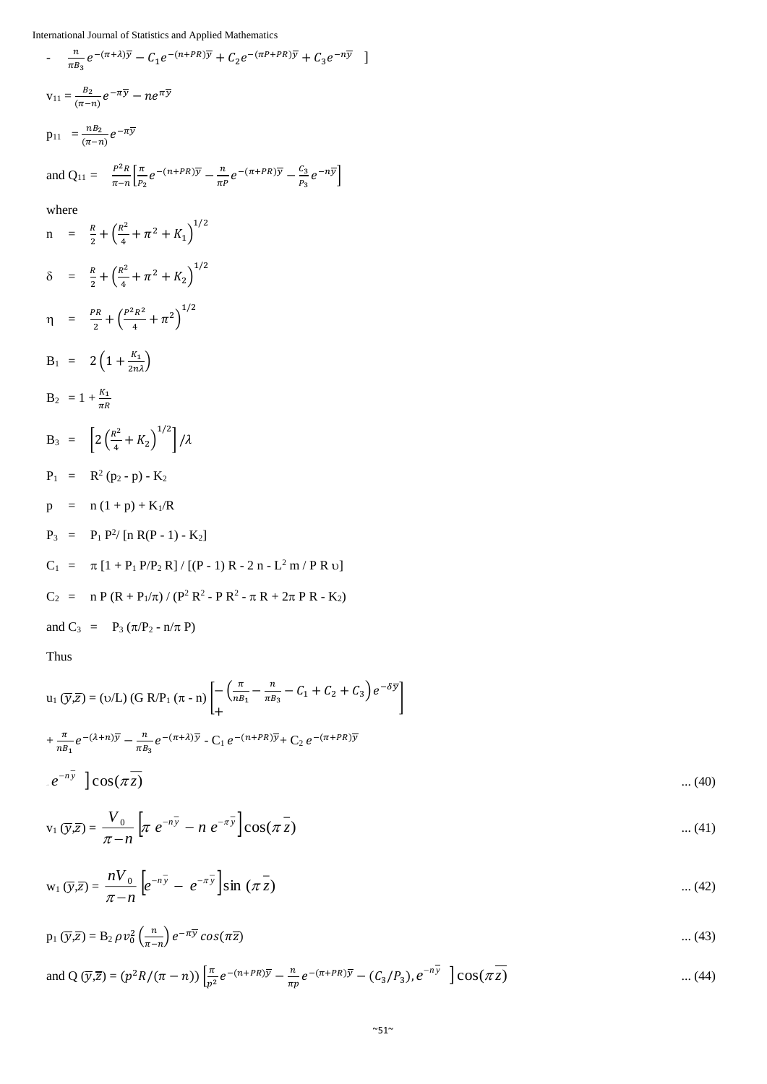$$
\frac{n}{\pi B_3} e^{-(\pi + \lambda)\overline{y}} - C_1 e^{-(n+PR)\overline{y}} + C_2 e^{-(\pi P + PR)\overline{y}} + C_3 e^{-n\overline{y}} \]
$$
  
\n
$$
v_{11} = \frac{B_2}{(\pi - n)} e^{-\pi \overline{y}} - n e^{\pi \overline{y}}
$$
  
\n
$$
p_{11} = \frac{nB_2}{(\pi - n)} e^{-\pi \overline{y}}
$$
  
\nand  $Q_{11} = \frac{P^2 R}{\pi - n} \Big[ \frac{\pi}{P_2} e^{-(n+PR)\overline{y}} - \frac{n}{\pi P} e^{-(\pi + PR)\overline{y}} - \frac{C_3}{P_3} e^{-n\overline{y}} \Big]$   
\nwhere  
\n
$$
n = \frac{R}{2} + \Big( \frac{R^2}{4} + \pi^2 + K_1 \Big)^{1/2}
$$
  
\n
$$
\delta = \frac{R}{2} + \Big( \frac{R^2}{4} + \pi^2 + K_2 \Big)^{1/2}
$$
  
\n
$$
n = \frac{PR}{2} + \Big( \frac{P^2 R^2}{4} + \pi^2 \Big)^{1/2}
$$
  
\n
$$
B_1 = 2 \Big( 1 + \frac{K_1}{2n\lambda} \Big)
$$
  
\n
$$
B_2 = 1 + \frac{K_1}{\pi R}
$$
  
\n
$$
B_3 = \Big[ 2 \Big( \frac{R^2}{4} + K_2 \Big)^{1/2} \Big] / \lambda
$$
  
\n
$$
P_1 = R^2 (p_2 - p) - K_2
$$
  
\n
$$
p = n (1 + p) + K_1 / R
$$
  
\n
$$
P_3 = P_1 P^2 / [n R (P - 1) - K_2]
$$
  
\n
$$
C_1 = \pi [1 + P_1 P / P_2 R] / [(P - 1) R - 2 n - L^2 m / P R v]
$$
  
\n
$$
C_2 = n P (R + P_1 / \pi) / (P^2 R^2 - P R^2 - \pi R + 2\pi P R - K_2)
$$
  
\nand  $C_3 = P_3 (\pi / P_2 - n/\pi P)$ 

Thus

$$
u_1(\overline{y},\overline{z}) = (v/L) (G R/P_1 (\pi - n) \left[ -\left( \frac{\pi}{n_{B_1}} - \frac{n}{\pi B_3} - C_1 + C_2 + C_3 \right) e^{-\delta \overline{y}} \right]
$$
  
+ 
$$
\frac{\pi}{n_{B_1}} e^{-(\lambda + n)\overline{y}} - \frac{n}{\pi B_3} e^{-(\pi + \lambda)\overline{y}} - C_1 e^{-(n+PR)\overline{y}} + C_2 e^{-(\pi + PR)\overline{y}}
$$
  
. 
$$
e^{-n\overline{y}} \left[ \cos(\pi \overline{z}) - \cos(\pi \overline{z}) \right] \tag{40}
$$

$$
v_1(\overline{y},\overline{z}) = \frac{V_0}{\pi - n} \left[ \pi e^{-n\overline{y}} - n e^{-n\overline{y}} \right] \cos(\pi \overline{z}) \qquad \qquad \dots (41)
$$

$$
w_1(\overline{y},\overline{z}) = \frac{nV_0}{\pi - n} \left[ e^{-n\overline{y}} - e^{-n\overline{y}} \right] \sin(\pi \overline{z}) \qquad \qquad \dots (42)
$$

$$
p_1(\overline{y},\overline{z}) = B_2 \rho v_0^2 \left(\frac{n}{\pi - n}\right) e^{-\pi \overline{y}} \cos(\pi \overline{z})
$$
 ... (43)

and Q (
$$
\overline{y}, \overline{z}
$$
) =  $(p^2 R/(\pi - n)) \left[ \frac{\pi}{p^2} e^{-(n+PR)\overline{y}} - \frac{n}{\pi p} e^{-(\pi+PR)\overline{y}} - (C_3/P_3), e^{-n\overline{y}} \right] \cos(\pi \overline{z})$  ... (44)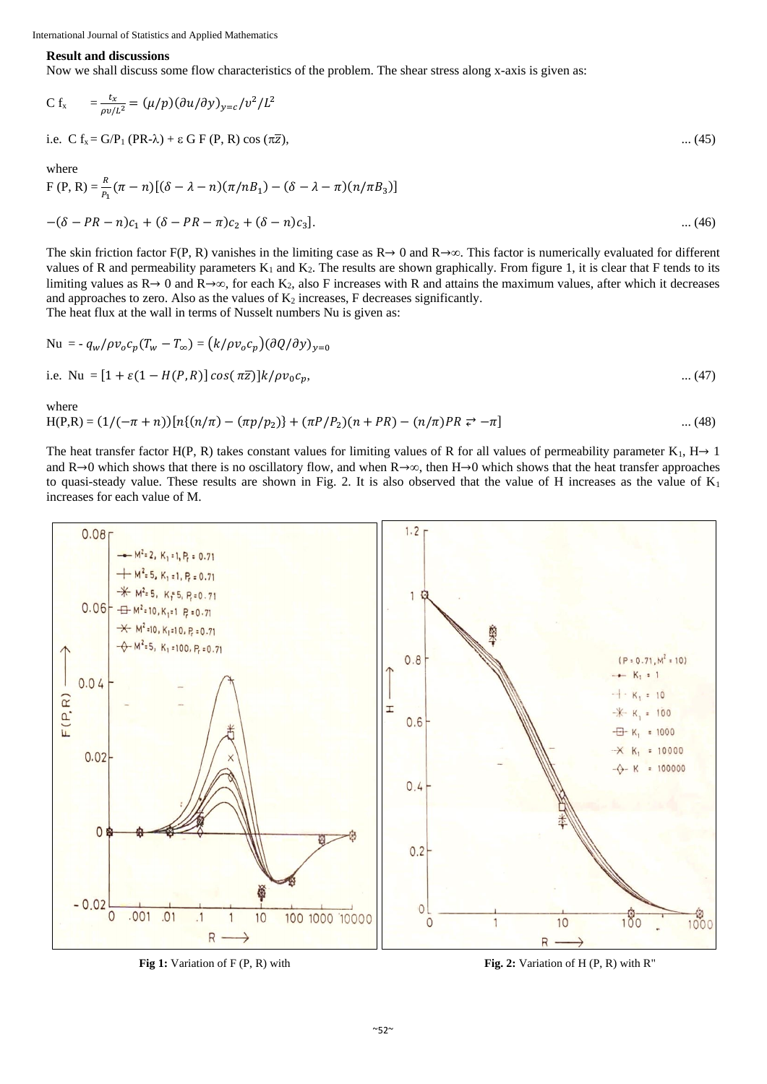## **Result and discussions**

Now we shall discuss some flow characteristics of the problem. The shear stress along x-axis is given as:

$$
C f_x = \frac{t_x}{\rho v / L^2} = (\mu / p) (\partial u / \partial y)_{y=c} / v^2 / L^2
$$

i.e.  $C f_x = G/P_1 (PR-\lambda) + \varepsilon G F (P, R) \cos (\pi \overline{z}),$  ... (45)

where

$$
F(P, R) = \frac{R}{P_1} (\pi - n) [(\delta - \lambda - n) (\pi/nB_1) - (\delta - \lambda - \pi) (n/nB_3)]
$$
  
-(\delta - PR - n)c<sub>1</sub> + (\delta - PR - \pi)c<sub>2</sub> + (\delta - n)c<sub>3</sub>]. (46)

The skin friction factor F(P, R) vanishes in the limiting case as  $R \rightarrow 0$  and  $R \rightarrow \infty$ . This factor is numerically evaluated for different values of R and permeability parameters  $K_1$  and  $K_2$ . The results are shown graphically. From figure 1, it is clear that F tends to its limiting values as  $R \rightarrow 0$  and  $R \rightarrow \infty$ , for each  $K_2$ , also F increases with R and attains the maximum values, after which it decreases and approaches to zero. Also as the values of  $K_2$  increases, F decreases significantly.

The heat flux at the wall in terms of Nusselt numbers Nu is given as:

$$
\text{Nu} = -q_w/\rho v_o c_p (T_w - T_\infty) = (k/\rho v_o c_p)(\partial Q/\partial y)_{y=0}
$$
\n
$$
\text{i.e. }\text{Nu} = [1 + \varepsilon (1 - H(P, R)] \cos(\pi \overline{z})] k/\rho v_0 c_p,
$$
\n
$$
\dots (47)
$$

where

$$
H(P,R) = (1/(-\pi + n))[n\{(n/\pi) - (n/\pi)p_2]\} + (nP/P_2)(n+PR) - (n/\pi)PR \rightleftarrows -\pi]
$$
\n(48)

The heat transfer factor H(P, R) takes constant values for limiting values of R for all values of permeability parameter K<sub>1</sub>, H  $\rightarrow$  1 and  $R\rightarrow 0$  which shows that there is no oscillatory flow, and when  $R\rightarrow \infty$ , then  $H\rightarrow 0$  which shows that the heat transfer approaches to quasi-steady value. These results are shown in Fig. 2. It is also observed that the value of H increases as the value of  $K_1$ increases for each value of M.



**Fig. 2:** Variation of F (P, R) with **Fig. 2:** Variation of H (P, R) with R<sup>"</sup>